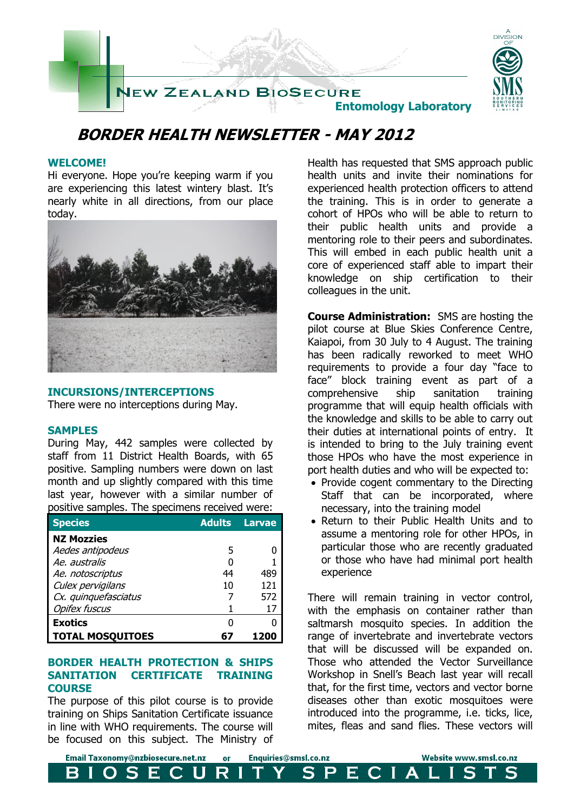

### **BORDER HEALTH NEWSLETTER - MAY 2012**

#### **WELCOME!**

Hi everyone. Hope you're keeping warm if you are experiencing this latest wintery blast. It's nearly white in all directions, from our place today.



#### **INCURSIONS/INTERCEPTIONS**

There were no interceptions during May.

#### **SAMPLES**

During May, 442 samples were collected by staff from 11 District Health Boards, with 65 positive. Sampling numbers were down on last month and up slightly compared with this time last year, however with a similar number of positive samples. The specimens received were:

| <b>Species</b>          | <b>Adults</b> | <b>Larvae</b> |
|-------------------------|---------------|---------------|
| <b>NZ Mozzies</b>       |               |               |
| Aedes antipodeus        | 5             |               |
| Ae, australis           |               |               |
| Ae. notoscriptus        | 44            | 489           |
| Culex pervigilans       | 10            | 121           |
| Cx. quinquefasciatus    |               | 572           |
| <b>Opifex fuscus</b>    |               | 17            |
| <b>Exotics</b>          | O             |               |
| <b>TOTAL MOSQUITOES</b> | 67            |               |

#### **BORDER HEALTH PROTECTION & SHIPS SANITATION CERTIFICATE TRAINING COURSE**

The purpose of this pilot course is to provide training on Ships Sanitation Certificate issuance in line with WHO requirements. The course will be focused on this subject. The Ministry of Health has requested that SMS approach public health units and invite their nominations for experienced health protection officers to attend the training. This is in order to generate a cohort of HPOs who will be able to return to their public health units and provide a mentoring role to their peers and subordinates. This will embed in each public health unit a core of experienced staff able to impart their knowledge on ship certification to their colleagues in the unit.

**Course Administration:** SMS are hosting the pilot course at Blue Skies Conference Centre, Kaiapoi, from 30 July to 4 August. The training has been radically reworked to meet WHO requirements to provide a four day "face to face" block training event as part of a comprehensive ship sanitation training programme that will equip health officials with the knowledge and skills to be able to carry out their duties at international points of entry. It is intended to bring to the July training event those HPOs who have the most experience in port health duties and who will be expected to:

- Provide cogent commentary to the Directing Staff that can be incorporated, where necessary, into the training model
- Return to their Public Health Units and to assume a mentoring role for other HPOs, in particular those who are recently graduated or those who have had minimal port health experience

There will remain training in vector control, with the emphasis on container rather than saltmarsh mosquito species. In addition the range of invertebrate and invertebrate vectors that will be discussed will be expanded on. Those who attended the Vector Surveillance Workshop in Snell's Beach last year will recall that, for the first time, vectors and vector borne diseases other than exotic mosquitoes were introduced into the programme, i.e. ticks, lice, mites, fleas and sand flies. These vectors will

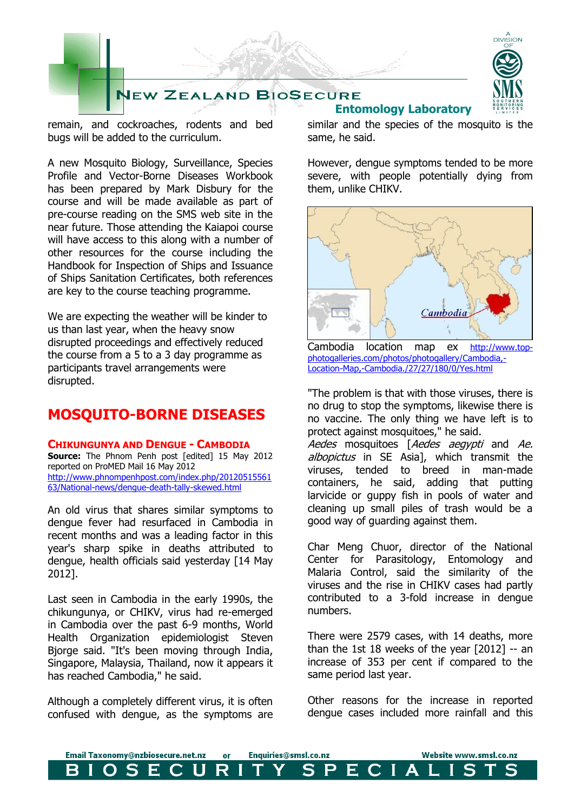

remain, and cockroaches, rodents and bed bugs will be added to the curriculum.

A new Mosquito Biology, Surveillance, Species Profile and Vector-Borne Diseases Workbook has been prepared by Mark Disbury for the course and will be made available as part of pre-course reading on the SMS web site in the near future. Those attending the Kaiapoi course will have access to this along with a number of other resources for the course including the Handbook for Inspection of Ships and Issuance of Ships Sanitation Certificates, both references are key to the course teaching programme.

We are expecting the weather will be kinder to us than last year, when the heavy snow disrupted proceedings and effectively reduced the course from a 5 to a 3 day programme as participants travel arrangements were disrupted.

### **MOSQUITO-BORNE DISEASES**

#### **CHIKUNGUNYA AND DENGUE - CAMBODIA**

**Source:** The Phnom Penh post [edited] 15 May 2012 reported on ProMED Mail 16 May 2012 [http://www.phnompenhpost.com/index.php/20120515561](http://www.phnompenhpost.com/index.php/2012051556163/National-news/dengue-death-tally-skewed.html) [63/National-news/dengue-death-tally-skewed.html](http://www.phnompenhpost.com/index.php/2012051556163/National-news/dengue-death-tally-skewed.html)

An old virus that shares similar symptoms to dengue fever had resurfaced in Cambodia in recent months and was a leading factor in this year's sharp spike in deaths attributed to dengue, health officials said yesterday [14 May 2012].

Last seen in Cambodia in the early 1990s, the chikungunya, or CHIKV, virus had re-emerged in Cambodia over the past 6-9 months, World Health Organization epidemiologist Steven Bjorge said. "It's been moving through India, Singapore, Malaysia, Thailand, now it appears it has reached Cambodia," he said.

Although a completely different virus, it is often confused with dengue, as the symptoms are

# **Entomology Laboratory**



**DIVISION** 

similar and the species of the mosquito is the same, he said.

However, dengue symptoms tended to be more severe, with people potentially dying from them, unlike CHIKV.



Cambodia location map ex [http://www.top](http://www.top-photogalleries.com/photos/photogallery/Cambodia,-Location-Map,-Cambodia./27/27/180/0/Yes.html)[photogalleries.com/photos/photogallery/Cambodia,-](http://www.top-photogalleries.com/photos/photogallery/Cambodia,-Location-Map,-Cambodia./27/27/180/0/Yes.html) [Location-Map,-Cambodia./27/27/180/0/Yes.html](http://www.top-photogalleries.com/photos/photogallery/Cambodia,-Location-Map,-Cambodia./27/27/180/0/Yes.html)

"The problem is that with those viruses, there is no drug to stop the symptoms, likewise there is no vaccine. The only thing we have left is to protect against mosquitoes," he said.

Aedes mosquitoes [Aedes aegypti and Ae. albopictus in SE Asia], which transmit the viruses, tended to breed in man-made containers, he said, adding that putting larvicide or guppy fish in pools of water and cleaning up small piles of trash would be a good way of guarding against them.

Char Meng Chuor, director of the National Center for Parasitology, Entomology and Malaria Control, said the similarity of the viruses and the rise in CHIKV cases had partly contributed to a 3-fold increase in dengue numbers.

There were 2579 cases, with 14 deaths, more than the 1st 18 weeks of the year [2012] -- an increase of 353 per cent if compared to the same period last year.

Other reasons for the increase in reported dengue cases included more rainfall and this

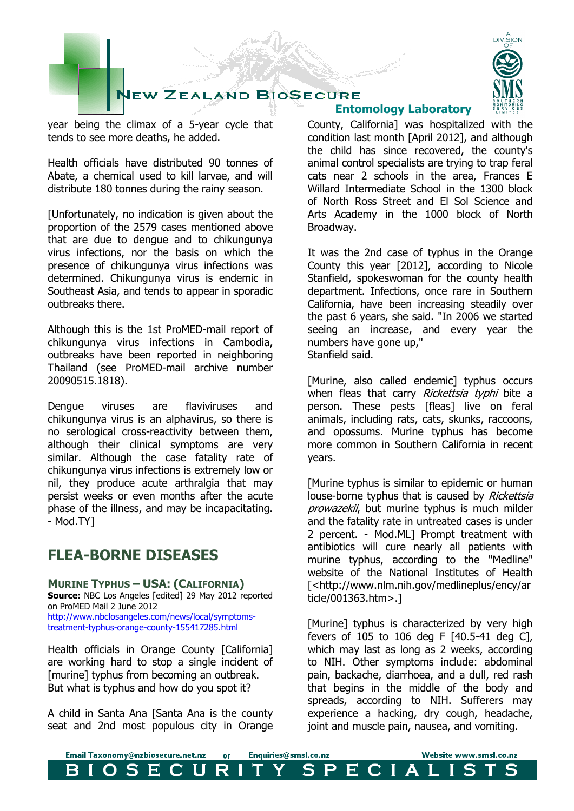# **JEW ZEALAND BIOSECURE**

year being the climax of a 5-year cycle that tends to see more deaths, he added.

Health officials have distributed 90 tonnes of Abate, a chemical used to kill larvae, and will distribute 180 tonnes during the rainy season.

[Unfortunately, no indication is given about the proportion of the 2579 cases mentioned above that are due to dengue and to chikungunya virus infections, nor the basis on which the presence of chikungunya virus infections was determined. Chikungunya virus is endemic in Southeast Asia, and tends to appear in sporadic outbreaks there.

Although this is the 1st ProMED-mail report of chikungunya virus infections in Cambodia, outbreaks have been reported in neighboring Thailand (see ProMED-mail archive number 20090515.1818).

Dengue viruses are flaviviruses and chikungunya virus is an alphavirus, so there is no serological cross-reactivity between them, although their clinical symptoms are very similar. Although the case fatality rate of chikungunya virus infections is extremely low or nil, they produce acute arthralgia that may persist weeks or even months after the acute phase of the illness, and may be incapacitating. - Mod.TY]

### **FLEA-BORNE DISEASES**

**MURINE TYPHUS – USA: (CALIFORNIA) Source:** NBC Los Angeles [edited] 29 May 2012 reported on ProMED Mail 2 June 2012 [http://www.nbclosangeles.com/news/local/symptoms-](http://www.nbclosangeles.com/news/local/symptoms-treatment-typhus-orange-county-155417285.html)

[treatment-typhus-orange-county-155417285.html](http://www.nbclosangeles.com/news/local/symptoms-treatment-typhus-orange-county-155417285.html)

Health officials in Orange County [California] are working hard to stop a single incident of [murine] typhus from becoming an outbreak. But what is typhus and how do you spot it?

A child in Santa Ana [Santa Ana is the county seat and 2nd most populous city in Orange

## **Entomology Laboratory**

County, California] was hospitalized with the condition last month [April 2012], and although the child has since recovered, the county's animal control specialists are trying to trap feral cats near 2 schools in the area, Frances E Willard Intermediate School in the 1300 block of North Ross Street and El Sol Science and Arts Academy in the 1000 block of North Broadway.

It was the 2nd case of typhus in the Orange County this year [2012], according to Nicole Stanfield, spokeswoman for the county health department. Infections, once rare in Southern California, have been increasing steadily over the past 6 years, she said. "In 2006 we started seeing an increase, and every year the numbers have gone up," Stanfield said.

[Murine, also called endemic] typhus occurs when fleas that carry Rickettsia typhi bite a person. These pests [fleas] live on feral animals, including rats, cats, skunks, raccoons, and opossums. Murine typhus has become more common in Southern California in recent years.

[Murine typhus is similar to epidemic or human louse-borne typhus that is caused by Rickettsia prowazekii, but murine typhus is much milder and the fatality rate in untreated cases is under 2 percent. - Mod.ML] Prompt treatment with antibiotics will cure nearly all patients with murine typhus, according to the "Medline" website of the National Institutes of Health [<http://www.nlm.nih.gov/medlineplus/ency/ar ticle/001363.htm>.]

[Murine] typhus is characterized by very high fevers of 105 to 106 deg F [40.5-41 deg C], which may last as long as 2 weeks, according to NIH. Other symptoms include: abdominal pain, backache, diarrhoea, and a dull, red rash that begins in the middle of the body and spreads, according to NIH. Sufferers may experience a hacking, dry cough, headache, joint and muscle pain, nausea, and vomiting.